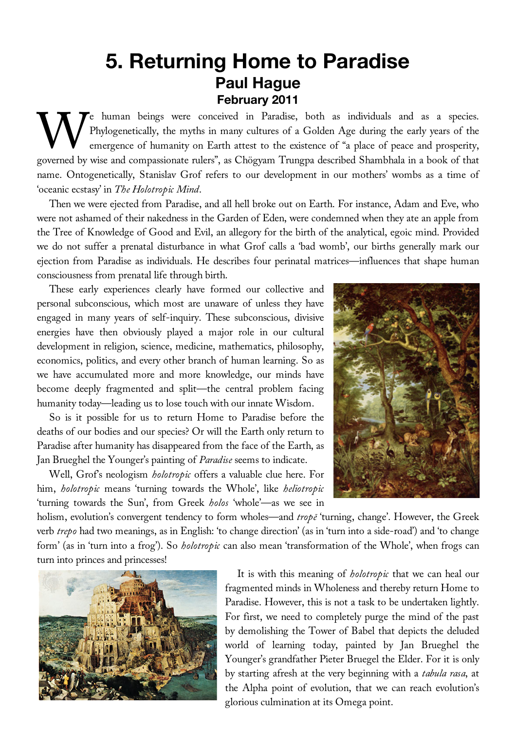## **5. Returning Home to Paradise Paul Hague February 2011**

Te human beings were conceived in Paradise, both as individuals and as a species. Phylogenetically, the myths in many cultures of a Golden Age during the early years of the emergence of humanity on Earth attest to the existence of "a place of peace and prosperity, We human beings were conceived in Paradise, both as individuals and as a species.<br>
Phylogenetically, the myths in many cultures of a Golden Age during the early years of the<br>
emergence of humanity on Earth attest to the ex name. Ontogenetically, Stanislav Grof refers to our development in our mothers' wombs as a time of 'oceanic ecstasy' in *The Holotropic Mind*.

Then we were ejected from Paradise, and all hell broke out on Earth. For instance, Adam and Eve, who were not ashamed of their nakedness in the Garden of Eden, were condemned when they ate an apple from the Tree of Knowledge of Good and Evil, an allegory for the birth of the analytical, egoic mind. Provided we do not suffer a prenatal disturbance in what Grof calls a 'bad womb', our births generally mark our ejection from Paradise as individuals. He describes four perinatal matrices—influences that shape human consciousness from prenatal life through birth.

These early experiences clearly have formed our collective and personal subconscious, which most are unaware of unless they have engaged in many years of self-inquiry. These subconscious, divisive energies have then obviously played a major role in our cultural development in religion, science, medicine, mathematics, philosophy, economics, politics, and every other branch of human learning. So as we have accumulated more and more knowledge, our minds have become deeply fragmented and split—the central problem facing humanity today—leading us to lose touch with our innate Wisdom.

So is it possible for us to return Home to Paradise before the deaths of our bodies and our species? Or will the Earth only return to Paradise after humanity has disappeared from the face of the Earth, as Jan Brueghel the Younger's painting of *Paradise* seems to indicate.

Well, Grof's neologism *holotropic* offers a valuable clue here. For him, *holotropic* means 'turning towards the Whole', like *heliotropic* 'turning towards the Sun', from Greek *holos* 'whole'—as we see in



holism, evolution's convergent tendency to form wholes—and *tropē* 'turning, change'. However, the Greek verb *trepo* had two meanings, as in English: 'to change direction' (as in 'turn into a side-road') and 'to change form' (as in 'turn into a frog'). So *holotropic* can also mean 'transformation of the Whole', when frogs can turn into princes and princesses!



It is with this meaning of *holotropic* that we can heal our fragmented minds in Wholeness and thereby return Home to Paradise. However, this is not a task to be undertaken lightly. For first, we need to completely purge the mind of the past by demolishing the Tower of Babel that depicts the deluded world of learning today, painted by Jan Brueghel the Younger's grandfather Pieter Bruegel the Elder. For it is only by starting afresh at the very beginning with a *tabula rasa*, at the Alpha point of evolution, that we can reach evolution's glorious culmination at its Omega point.